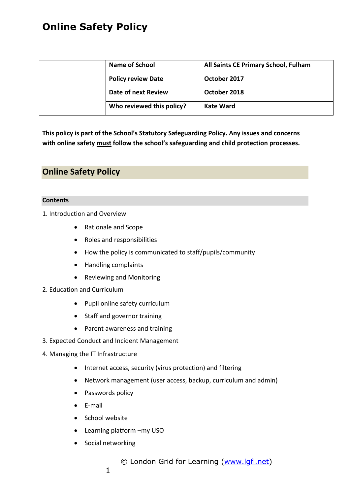| Name of School            | All Saints CE Primary School, Fulham |
|---------------------------|--------------------------------------|
| <b>Policy review Date</b> | October 2017                         |
| Date of next Review       | October 2018                         |
| Who reviewed this policy? | <b>Kate Ward</b>                     |

**This policy is part of the School's Statutory Safeguarding Policy. Any issues and concerns with online safety must follow the school's safeguarding and child protection processes.**

### **Online Safety Policy**

#### **Contents**

1. Introduction and Overview

- Rationale and Scope
- Roles and responsibilities
- How the policy is communicated to staff/pupils/community
- Handling complaints
- Reviewing and Monitoring
- 2. Education and Curriculum
	- Pupil online safety curriculum
	- Staff and governor training
	- Parent awareness and training
- 3. Expected Conduct and Incident Management
- 4. Managing the IT Infrastructure
	- Internet access, security (virus protection) and filtering
	- Network management (user access, backup, curriculum and admin)
	- Passwords policy
	- E-mail
	- School website
	- Learning platform –my USO
	- Social networking

© London Grid for Learning [\(www.lgfl.net\)](http://www.lgfl.net/)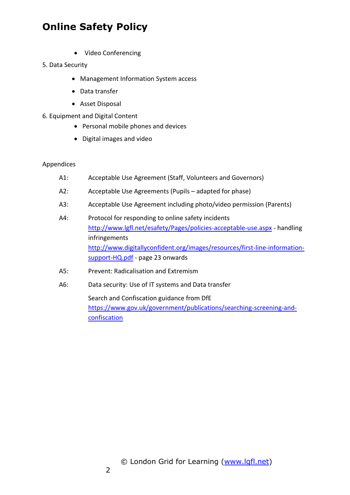Video Conferencing

### 5. Data Security

- Management Information System access
- Data transfer
- Asset Disposal
- 6. Equipment and Digital Content
	- Personal mobile phones and devices
	- Digital images and video

#### Appendices

- A1: Acceptable Use Agreement (Staff, Volunteers and Governors)
- A2: Acceptable Use Agreements (Pupils adapted for phase)
- A3: Acceptable Use Agreement including photo/video permission (Parents)
- A4: Protocol for responding to online safety incidents <http://www.lgfl.net/esafety/Pages/policies-acceptable-use.aspx> - handling infringements [http://www.digitallyconfident.org/images/resources/first-line-information](http://www.digitallyconfident.org/images/resources/first-line-information-support-HQ.pdf)[support-HQ.pdf](http://www.digitallyconfident.org/images/resources/first-line-information-support-HQ.pdf) - page 23 onwards
- A5: Prevent: Radicalisation and Extremism
- A6: Data security: Use of IT systems and Data transfer

Search and Confiscation guidance from DfE [https://www.gov.uk/government/publications/searching-screening-and](https://www.gov.uk/government/publications/searching-screening-and-confiscation)[confiscation](https://www.gov.uk/government/publications/searching-screening-and-confiscation)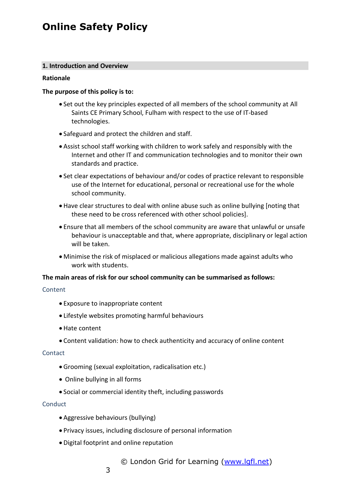#### **1. Introduction and Overview**

#### **Rationale**

#### **The purpose of this policy is to:**

- Set out the key principles expected of all members of the school community at All Saints CE Primary School, Fulham with respect to the use of IT-based technologies.
- Safeguard and protect the children and staff.
- Assist school staff working with children to work safely and responsibly with the Internet and other IT and communication technologies and to monitor their own standards and practice.
- Set clear expectations of behaviour and/or codes of practice relevant to responsible use of the Internet for educational, personal or recreational use for the whole school community.
- Have clear structures to deal with online abuse such as online bullying [noting that these need to be cross referenced with other school policies].
- Ensure that all members of the school community are aware that unlawful or unsafe behaviour is unacceptable and that, where appropriate, disciplinary or legal action will be taken.
- Minimise the risk of misplaced or malicious allegations made against adults who work with students.

#### **The main areas of risk for our school community can be summarised as follows:**

#### Content

- Exposure to inappropriate content
- Lifestyle websites promoting harmful behaviours
- Hate content
- Content validation: how to check authenticity and accuracy of online content

#### **Contact**

- Grooming (sexual exploitation, radicalisation etc.)
- Online bullying in all forms
- Social or commercial identity theft, including passwords

#### **Conduct**

- Aggressive behaviours (bullying)
- Privacy issues, including disclosure of personal information
- Digital footprint and online reputation

© London Grid for Learning [\(www.lgfl.net\)](http://www.lgfl.net/)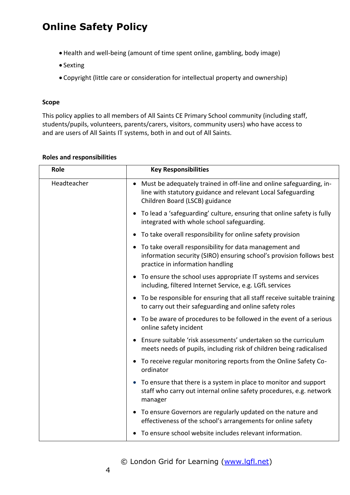- Health and well-being (amount of time spent online, gambling, body image)
- Sexting
- Copyright (little care or consideration for intellectual property and ownership)

#### **Scope**

This policy applies to all members of All Saints CE Primary School community (including staff, students/pupils, volunteers, parents/carers, visitors, community users) who have access to and are users of All Saints IT systems, both in and out of All Saints.

#### **Roles and responsibilities**

| Role        | <b>Key Responsibilities</b>                                                                                                                                                        |
|-------------|------------------------------------------------------------------------------------------------------------------------------------------------------------------------------------|
| Headteacher | Must be adequately trained in off-line and online safeguarding, in-<br>$\bullet$<br>line with statutory guidance and relevant Local Safeguarding<br>Children Board (LSCB) guidance |
|             | To lead a 'safeguarding' culture, ensuring that online safety is fully<br>integrated with whole school safeguarding.                                                               |
|             | To take overall responsibility for online safety provision                                                                                                                         |
|             | • To take overall responsibility for data management and<br>information security (SIRO) ensuring school's provision follows best<br>practice in information handling               |
|             | • To ensure the school uses appropriate IT systems and services<br>including, filtered Internet Service, e.g. LGfL services                                                        |
|             | To be responsible for ensuring that all staff receive suitable training<br>to carry out their safeguarding and online safety roles                                                 |
|             | To be aware of procedures to be followed in the event of a serious<br>online safety incident                                                                                       |
|             | Ensure suitable 'risk assessments' undertaken so the curriculum<br>meets needs of pupils, including risk of children being radicalised                                             |
|             | To receive regular monitoring reports from the Online Safety Co-<br>ordinator                                                                                                      |
|             | To ensure that there is a system in place to monitor and support<br>staff who carry out internal online safety procedures, e.g. network<br>manager                                 |
|             | To ensure Governors are regularly updated on the nature and<br>$\bullet$<br>effectiveness of the school's arrangements for online safety                                           |
|             | To ensure school website includes relevant information.                                                                                                                            |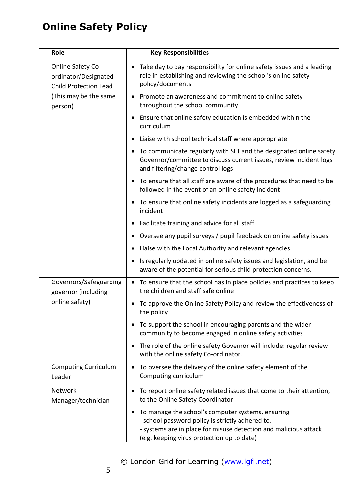| Role                                                                      | <b>Key Responsibilities</b>                                                                                                                                                                |
|---------------------------------------------------------------------------|--------------------------------------------------------------------------------------------------------------------------------------------------------------------------------------------|
| Online Safety Co-<br>ordinator/Designated<br><b>Child Protection Lead</b> | Take day to day responsibility for online safety issues and a leading<br>role in establishing and reviewing the school's online safety<br>policy/documents                                 |
| (This may be the same<br>person)                                          | Promote an awareness and commitment to online safety<br>throughout the school community                                                                                                    |
|                                                                           | Ensure that online safety education is embedded within the<br>curriculum                                                                                                                   |
|                                                                           | Liaise with school technical staff where appropriate<br>$\bullet$                                                                                                                          |
|                                                                           | To communicate regularly with SLT and the designated online safety<br>$\bullet$<br>Governor/committee to discuss current issues, review incident logs<br>and filtering/change control logs |
|                                                                           | • To ensure that all staff are aware of the procedures that need to be<br>followed in the event of an online safety incident                                                               |
|                                                                           | To ensure that online safety incidents are logged as a safeguarding<br>$\bullet$<br>incident                                                                                               |
|                                                                           | Facilitate training and advice for all staff<br>$\bullet$                                                                                                                                  |
|                                                                           | Oversee any pupil surveys / pupil feedback on online safety issues                                                                                                                         |
|                                                                           | Liaise with the Local Authority and relevant agencies                                                                                                                                      |
|                                                                           | Is regularly updated in online safety issues and legislation, and be<br>aware of the potential for serious child protection concerns.                                                      |
| Governors/Safeguarding<br>governor (including                             | To ensure that the school has in place policies and practices to keep<br>$\bullet$<br>the children and staff safe online                                                                   |
| online safety)                                                            | To approve the Online Safety Policy and review the effectiveness of<br>the policy                                                                                                          |
|                                                                           | To support the school in encouraging parents and the wider<br>$\bullet$<br>community to become engaged in online safety activities                                                         |
|                                                                           | The role of the online safety Governor will include: regular review<br>$\bullet$<br>with the online safety Co-ordinator.                                                                   |
| <b>Computing Curriculum</b><br>Leader                                     | To oversee the delivery of the online safety element of the<br>$\bullet$<br>Computing curriculum                                                                                           |
| <b>Network</b>                                                            | To report online safety related issues that come to their attention,<br>$\bullet$                                                                                                          |
| Manager/technician                                                        | to the Online Safety Coordinator                                                                                                                                                           |
|                                                                           | To manage the school's computer systems, ensuring<br>$\bullet$<br>- school password policy is strictly adhered to.                                                                         |
|                                                                           | - systems are in place for misuse detection and malicious attack                                                                                                                           |
|                                                                           | (e.g. keeping virus protection up to date)                                                                                                                                                 |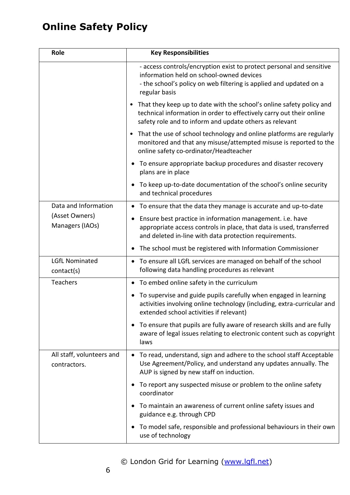| Role                                      | <b>Key Responsibilities</b>                                                                                                                                                                               |
|-------------------------------------------|-----------------------------------------------------------------------------------------------------------------------------------------------------------------------------------------------------------|
|                                           | - access controls/encryption exist to protect personal and sensitive<br>information held on school-owned devices<br>- the school's policy on web filtering is applied and updated on a<br>regular basis   |
|                                           | • That they keep up to date with the school's online safety policy and<br>technical information in order to effectively carry out their online<br>safety role and to inform and update others as relevant |
|                                           | • That the use of school technology and online platforms are regularly<br>monitored and that any misuse/attempted misuse is reported to the<br>online safety co-ordinator/Headteacher                     |
|                                           | To ensure appropriate backup procedures and disaster recovery<br>$\bullet$<br>plans are in place                                                                                                          |
|                                           | To keep up-to-date documentation of the school's online security<br>$\bullet$<br>and technical procedures                                                                                                 |
| Data and Information                      | To ensure that the data they manage is accurate and up-to-date                                                                                                                                            |
| (Asset Owners)<br>Managers (IAOs)         | Ensure best practice in information management. i.e. have<br>appropriate access controls in place, that data is used, transferred<br>and deleted in-line with data protection requirements.               |
|                                           | The school must be registered with Information Commissioner                                                                                                                                               |
| <b>LGfL Nominated</b><br>contact(s)       | • To ensure all LGfL services are managed on behalf of the school<br>following data handling procedures as relevant                                                                                       |
| <b>Teachers</b>                           | To embed online safety in the curriculum<br>$\bullet$                                                                                                                                                     |
|                                           | To supervise and guide pupils carefully when engaged in learning<br>$\bullet$<br>activities involving online technology (including, extra-curricular and<br>extended school activities if relevant)       |
|                                           | To ensure that pupils are fully aware of research skills and are fully<br>$\bullet$<br>aware of legal issues relating to electronic content such as copyright<br>laws                                     |
| All staff, volunteers and<br>contractors. | To read, understand, sign and adhere to the school staff Acceptable<br>$\bullet$<br>Use Agreement/Policy, and understand any updates annually. The<br>AUP is signed by new staff on induction.            |
|                                           | To report any suspected misuse or problem to the online safety<br>coordinator                                                                                                                             |
|                                           | To maintain an awareness of current online safety issues and<br>guidance e.g. through CPD                                                                                                                 |
|                                           | To model safe, responsible and professional behaviours in their own<br>use of technology                                                                                                                  |

© London Grid for Learning [\(www.lgfl.net\)](http://www.lgfl.net/)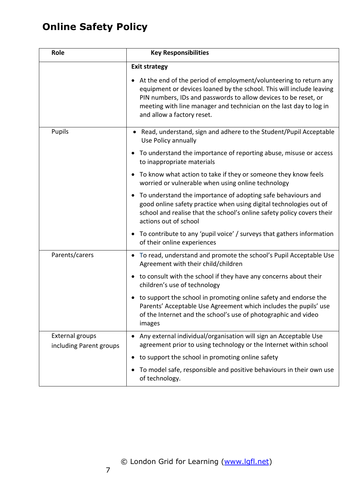| Role                                              | <b>Key Responsibilities</b>                                                                                                                                                                                                                                                                                      |
|---------------------------------------------------|------------------------------------------------------------------------------------------------------------------------------------------------------------------------------------------------------------------------------------------------------------------------------------------------------------------|
|                                                   | <b>Exit strategy</b>                                                                                                                                                                                                                                                                                             |
|                                                   | At the end of the period of employment/volunteering to return any<br>equipment or devices loaned by the school. This will include leaving<br>PIN numbers, IDs and passwords to allow devices to be reset, or<br>meeting with line manager and technician on the last day to log in<br>and allow a factory reset. |
| Pupils                                            | Read, understand, sign and adhere to the Student/Pupil Acceptable<br>٠<br>Use Policy annually                                                                                                                                                                                                                    |
|                                                   | To understand the importance of reporting abuse, misuse or access<br>$\bullet$<br>to inappropriate materials                                                                                                                                                                                                     |
|                                                   | To know what action to take if they or someone they know feels<br>$\bullet$<br>worried or vulnerable when using online technology                                                                                                                                                                                |
|                                                   | To understand the importance of adopting safe behaviours and<br>$\bullet$<br>good online safety practice when using digital technologies out of<br>school and realise that the school's online safety policy covers their<br>actions out of school                                                               |
|                                                   | To contribute to any 'pupil voice' / surveys that gathers information<br>$\bullet$<br>of their online experiences                                                                                                                                                                                                |
| Parents/carers                                    | To read, understand and promote the school's Pupil Acceptable Use<br>$\bullet$<br>Agreement with their child/children                                                                                                                                                                                            |
|                                                   | to consult with the school if they have any concerns about their<br>$\bullet$<br>children's use of technology                                                                                                                                                                                                    |
|                                                   | to support the school in promoting online safety and endorse the<br>Parents' Acceptable Use Agreement which includes the pupils' use<br>of the Internet and the school's use of photographic and video<br>images                                                                                                 |
| <b>External groups</b><br>including Parent groups | Any external individual/organisation will sign an Acceptable Use<br>agreement prior to using technology or the Internet within school                                                                                                                                                                            |
|                                                   | to support the school in promoting online safety                                                                                                                                                                                                                                                                 |
|                                                   | To model safe, responsible and positive behaviours in their own use<br>of technology.                                                                                                                                                                                                                            |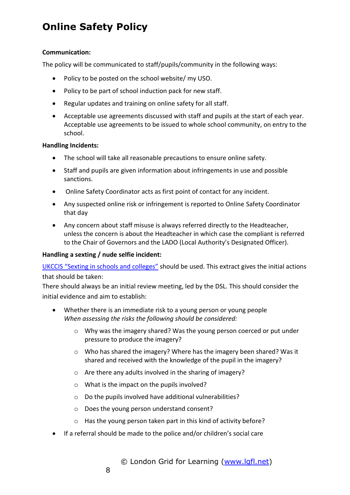### **Communication:**

The policy will be communicated to staff/pupils/community in the following ways:

- Policy to be posted on the school website/ my USO.
- Policy to be part of school induction pack for new staff.
- Regular updates and training on online safety for all staff.
- Acceptable use agreements discussed with staff and pupils at the start of each year. Acceptable use agreements to be issued to whole school community, on entry to the school.

#### **Handling Incidents:**

- The school will take all reasonable precautions to ensure online safety.
- Staff and pupils are given information about infringements in use and possible sanctions.
- Online Safety Coordinator acts as first point of contact for any incident.
- Any suspected online risk or infringement is reported to Online Safety Coordinator that day
- Any concern about staff misuse is always referred directly to the Headteacher, unless the concern is about the Headteacher in which case the compliant is referred to the Chair of Governors and the LADO (Local Authority's Designated Officer).

### **Handling a sexting / nude selfie incident:**

[UKCCIS "Sexting in schools and colleges"](http://sexting.lgfl.net/) should be used. This extract gives the initial actions that should be taken:

There should always be an initial review meeting, led by the DSL. This should consider the initial evidence and aim to establish:

- Whether there is an immediate risk to a young person or young people *When assessing the risks the following should be considered:* 
	- o Why was the imagery shared? Was the young person coerced or put under pressure to produce the imagery?
	- $\circ$  Who has shared the imagery? Where has the imagery been shared? Was it shared and received with the knowledge of the pupil in the imagery?
	- o Are there any adults involved in the sharing of imagery?
	- o What is the impact on the pupils involved?
	- o Do the pupils involved have additional vulnerabilities?
	- o Does the young person understand consent?
	- o Has the young person taken part in this kind of activity before?
- If a referral should be made to the police and/or children's social care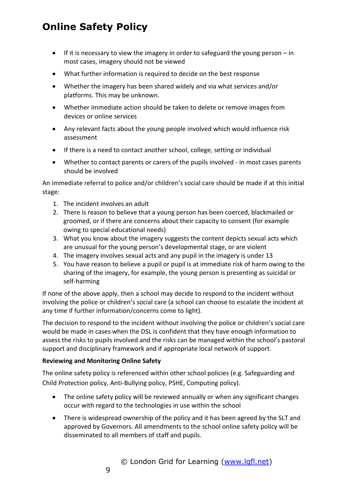- $\bullet$  If it is necessary to view the imagery in order to safeguard the young person  $-$  in most cases, imagery should not be viewed
- What further information is required to decide on the best response
- Whether the imagery has been shared widely and via what services and/or platforms. This may be unknown.
- Whether immediate action should be taken to delete or remove images from devices or online services
- Any relevant facts about the young people involved which would influence risk assessment
- If there is a need to contact another school, college, setting or individual
- Whether to contact parents or carers of the pupils involved in most cases parents should be involved

An immediate referral to police and/or children's social care should be made if at this initial stage:

- 1. The incident involves an adult
- 2. There is reason to believe that a young person has been coerced, blackmailed or groomed, or if there are concerns about their capacity to consent (for example owing to special educational needs)
- 3. What you know about the imagery suggests the content depicts sexual acts which are unusual for the young person's developmental stage, or are violent
- 4. The imagery involves sexual acts and any pupil in the imagery is under 13
- 5. You have reason to believe a pupil or pupil is at immediate risk of harm owing to the sharing of the imagery, for example, the young person is presenting as suicidal or self-harming

If none of the above apply, then a school may decide to respond to the incident without involving the police or children's social care (a school can choose to escalate the incident at any time if further information/concerns come to light).

The decision to respond to the incident without involving the police or children's social care would be made in cases when the DSL is confident that they have enough information to assess the risks to pupils involved and the risks can be managed within the school's pastoral support and disciplinary framework and if appropriate local network of support.

### **Reviewing and Monitoring Online Safety**

The online safety policy is referenced within other school policies (e.g. Safeguarding and Child Protection policy, Anti-Bullying policy, PSHE, Computing policy).

- The online safety policy will be reviewed annually or when any significant changes occur with regard to the technologies in use within the school
- There is widespread ownership of the policy and it has been agreed by the SLT and approved by Governors. All amendments to the school online safety policy will be disseminated to all members of staff and pupils.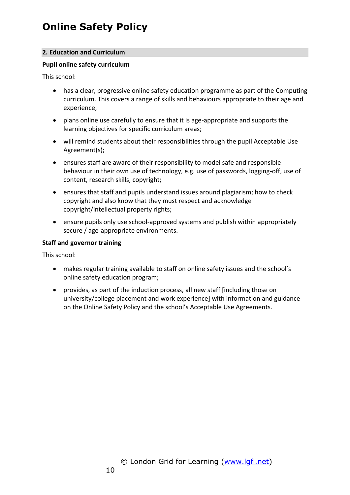#### **2. Education and Curriculum**

#### **Pupil online safety curriculum**

This school:

- has a clear, progressive online safety education programme as part of the Computing curriculum. This covers a range of skills and behaviours appropriate to their age and experience;
- plans online use carefully to ensure that it is age-appropriate and supports the learning objectives for specific curriculum areas;
- will remind students about their responsibilities through the pupil Acceptable Use Agreement(s);
- ensures staff are aware of their responsibility to model safe and responsible behaviour in their own use of technology, e.g. use of passwords, logging-off, use of content, research skills, copyright;
- ensures that staff and pupils understand issues around plagiarism; how to check copyright and also know that they must respect and acknowledge copyright/intellectual property rights;
- ensure pupils only use school-approved systems and publish within appropriately secure / age-appropriate environments.

#### **Staff and governor training**

This school:

- makes regular training available to staff on online safety issues and the school's online safety education program;
- provides, as part of the induction process, all new staff [including those on university/college placement and work experience] with information and guidance on the Online Safety Policy and the school's Acceptable Use Agreements.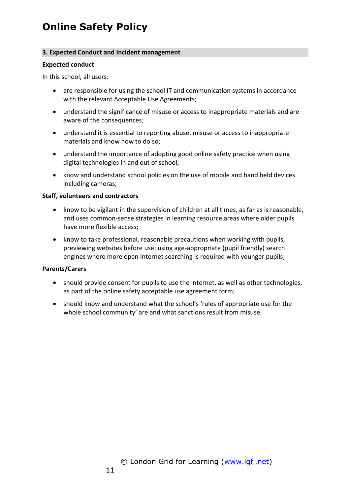#### **3. Expected Conduct and Incident management**

#### **Expected conduct**

In this school, all users:

- are responsible for using the school IT and communication systems in accordance with the relevant Acceptable Use Agreements;
- understand the significance of misuse or access to inappropriate materials and are aware of the consequences;
- understand it is essential to reporting abuse, misuse or access to inappropriate materials and know how to do so;
- understand the importance of adopting good online safety practice when using digital technologies in and out of school;
- know and understand school policies on the use of mobile and hand held devices including cameras;

#### **Staff, volunteers and contractors**

- know to be vigilant in the supervision of children at all times, as far as is reasonable, and uses common-sense strategies in learning resource areas where older pupils have more flexible access;
- know to take professional, reasonable precautions when working with pupils, previewing websites before use; using age-appropriate (pupil friendly) search engines where more open Internet searching is required with younger pupils;

#### **Parents/Carers**

- should provide consent for pupils to use the Internet, as well as other technologies, as part of the online safety acceptable use agreement form;
- should know and understand what the school's 'rules of appropriate use for the whole school community' are and what sanctions result from misuse.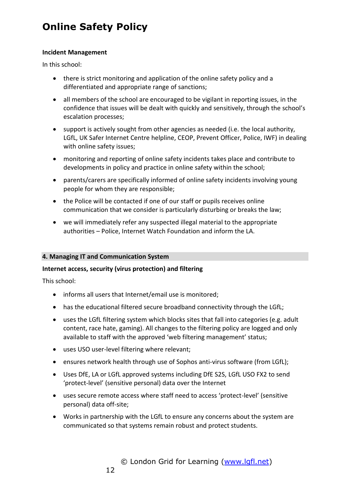#### **Incident Management**

In this school:

- there is strict monitoring and application of the online safety policy and a differentiated and appropriate range of sanctions;
- all members of the school are encouraged to be vigilant in reporting issues, in the confidence that issues will be dealt with quickly and sensitively, through the school's escalation processes;
- support is actively sought from other agencies as needed (i.e. the local authority, LGfL, UK Safer Internet Centre helpline, CEOP, Prevent Officer, Police, IWF) in dealing with online safety issues;
- monitoring and reporting of online safety incidents takes place and contribute to developments in policy and practice in online safety within the school;
- parents/carers are specifically informed of online safety incidents involving young people for whom they are responsible;
- the Police will be contacted if one of our staff or pupils receives online communication that we consider is particularly disturbing or breaks the law;
- we will immediately refer any suspected illegal material to the appropriate authorities – Police, Internet Watch Foundation and inform the LA.

### **4. Managing IT and Communication System**

### **Internet access, security (virus protection) and filtering**

This school:

- informs all users that Internet/email use is monitored;
- has the educational filtered secure broadband connectivity through the LGfL;
- uses the LGfL filtering system which blocks sites that fall into categories (e.g. adult content, race hate, gaming). All changes to the filtering policy are logged and only available to staff with the approved 'web filtering management' status;
- uses USO user-level filtering where relevant;
- ensures network health through use of Sophos anti-virus software (from LGfL);
- Uses DfE, LA or LGfL approved systems including DfE S2S, LGfL USO FX2 to send 'protect-level' (sensitive personal) data over the Internet
- uses secure remote access where staff need to access 'protect-level' (sensitive personal) data off-site;
- Works in partnership with the LGfL to ensure any concerns about the system are communicated so that systems remain robust and protect students.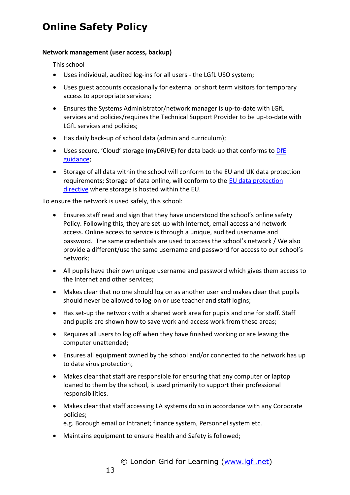#### **Network management (user access, backup)**

This school

- Uses individual, audited log-ins for all users the LGfL USO system;
- Uses guest accounts occasionally for external or short term visitors for temporary access to appropriate services;
- Ensures the Systems Administrator/network manager is up-to-date with LGfL services and policies/requires the Technical Support Provider to be up-to-date with LGfL services and policies;
- Has daily back-up of school data (admin and curriculum);
- Uses secure, 'Cloud' storage (myDRIVE) for data back-up that conforms to DfE [guidance;](https://www.gov.uk/government/publications/cloud-software-services-and-the-data-protection-act)
- Storage of all data within the school will conform to the EU and UK data protection requirements; Storage of data online, will conform to the [EU data protection](http://en.wikipedia.org/wiki/Data_Protection_Directive)  [directive](http://en.wikipedia.org/wiki/Data_Protection_Directive) where storage is hosted within the EU.

To ensure the network is used safely, this school:

- Ensures staff read and sign that they have understood the school's online safety Policy. Following this, they are set-up with Internet, email access and network access. Online access to service is through a unique, audited username and password. The same credentials are used to access the school's network / We also provide a different/use the same username and password for access to our school's network;
- All pupils have their own unique username and password which gives them access to the Internet and other services;
- Makes clear that no one should log on as another user and makes clear that pupils should never be allowed to log-on or use teacher and staff logins;
- Has set-up the network with a shared work area for pupils and one for staff. Staff and pupils are shown how to save work and access work from these areas;
- Requires all users to log off when they have finished working or are leaving the computer unattended;
- Ensures all equipment owned by the school and/or connected to the network has up to date virus protection;
- Makes clear that staff are responsible for ensuring that any computer or laptop loaned to them by the school, is used primarily to support their professional responsibilities.
- Makes clear that staff accessing LA systems do so in accordance with any Corporate policies;

e.g. Borough email or Intranet; finance system, Personnel system etc.

Maintains equipment to ensure Health and Safety is followed;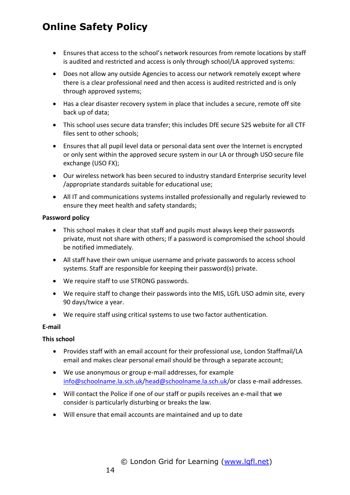- Ensures that access to the school's network resources from remote locations by staff is audited and restricted and access is only through school/LA approved systems:
- Does not allow any outside Agencies to access our network remotely except where there is a clear professional need and then access is audited restricted and is only through approved systems;
- Has a clear disaster recovery system in place that includes a secure, remote off site back up of data;
- This school uses secure data transfer; this includes DfE secure S2S website for all CTF files sent to other schools;
- Ensures that all pupil level data or personal data sent over the Internet is encrypted or only sent within the approved secure system in our LA or through USO secure file exchange (USO FX);
- Our wireless network has been secured to industry standard Enterprise security level /appropriate standards suitable for educational use;
- All IT and communications systems installed professionally and regularly reviewed to ensure they meet health and safety standards;

#### **Password policy**

- This school makes it clear that staff and pupils must always keep their passwords private, must not share with others; If a password is compromised the school should be notified immediately.
- All staff have their own unique username and private passwords to access school systems. Staff are responsible for keeping their password(s) private.
- We require staff to use STRONG passwords.
- We require staff to change their passwords into the MIS, LGfL USO admin site, every 90 days/twice a year.
- We require staff using critical systems to use two factor authentication.

#### **E-mail**

#### **This school**

- Provides staff with an email account for their professional use, London Staffmail/LA email and makes clear personal email should be through a separate account;
- We use anonymous or group e-mail addresses, for example [info@schoolname.la.sch.uk/](mailto:info@schoolname.la.sch.uk)[head@schoolname.la.sch.uk/](mailto:head@schoolname.la.sch.uk)or class e-mail addresses.
- Will contact the Police if one of our staff or pupils receives an e-mail that we consider is particularly disturbing or breaks the law.
- Will ensure that email accounts are maintained and up to date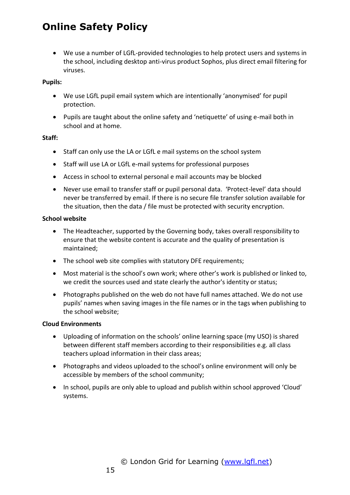We use a number of LGfL-provided technologies to help protect users and systems in the school, including desktop anti-virus product Sophos, plus direct email filtering for viruses.

### **Pupils:**

- We use LGfL pupil email system which are intentionally 'anonymised' for pupil protection.
- Pupils are taught about the online safety and 'netiquette' of using e-mail both in school and at home.

#### **Staff:**

- Staff can only use the LA or LGfL e mail systems on the school system
- Staff will use LA or LGfL e-mail systems for professional purposes
- Access in school to external personal e mail accounts may be blocked
- Never use email to transfer staff or pupil personal data. 'Protect-level' data should never be transferred by email. If there is no secure file transfer solution available for the situation, then the data / file must be protected with security encryption.

#### **School website**

- The Headteacher, supported by the Governing body, takes overall responsibility to ensure that the website content is accurate and the quality of presentation is maintained;
- The school web site complies with statutory DFE requirements;
- Most material is the school's own work; where other's work is published or linked to, we credit the sources used and state clearly the author's identity or status;
- Photographs published on the web do not have full names attached. We do not use pupils' names when saving images in the file names or in the tags when publishing to the school website;

### **Cloud Environments**

- Uploading of information on the schools' online learning space (my USO) is shared between different staff members according to their responsibilities e.g. all class teachers upload information in their class areas;
- Photographs and videos uploaded to the school's online environment will only be accessible by members of the school community;
- In school, pupils are only able to upload and publish within school approved 'Cloud' systems.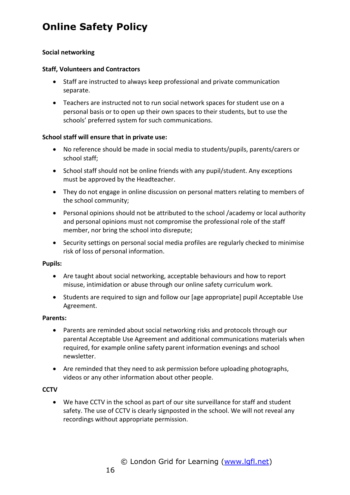### **Social networking**

#### **Staff, Volunteers and Contractors**

- Staff are instructed to always keep professional and private communication separate.
- Teachers are instructed not to run social network spaces for student use on a personal basis or to open up their own spaces to their students, but to use the schools' preferred system for such communications.

#### **School staff will ensure that in private use:**

- No reference should be made in social media to students/pupils, parents/carers or school staff;
- School staff should not be online friends with any pupil/student. Any exceptions must be approved by the Headteacher.
- They do not engage in online discussion on personal matters relating to members of the school community;
- Personal opinions should not be attributed to the school /academy or local authority and personal opinions must not compromise the professional role of the staff member, nor bring the school into disrepute;
- Security settings on personal social media profiles are regularly checked to minimise risk of loss of personal information.

#### **Pupils:**

- Are taught about social networking, acceptable behaviours and how to report misuse, intimidation or abuse through our online safety curriculum work.
- Students are required to sign and follow our [age appropriate] pupil Acceptable Use Agreement.

#### **Parents:**

- Parents are reminded about social networking risks and protocols through our parental Acceptable Use Agreement and additional communications materials when required, for example online safety parent information evenings and school newsletter.
- Are reminded that they need to ask permission before uploading photographs, videos or any other information about other people.

#### **CCTV**

 We have CCTV in the school as part of our site surveillance for staff and student safety. The use of CCTV is clearly signposted in the school. We will not reveal any recordings without appropriate permission.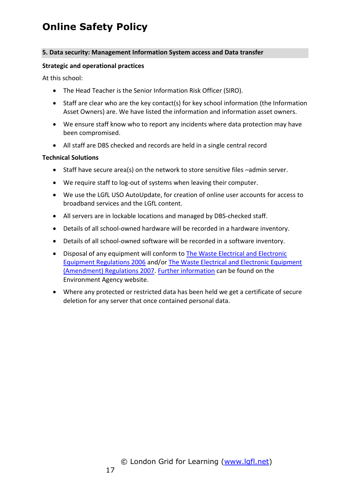#### **5. Data security: Management Information System access and Data transfer**

#### **Strategic and operational practices**

At this school:

- The Head Teacher is the Senior Information Risk Officer (SIRO).
- Staff are clear who are the key contact(s) for key school information (the Information Asset Owners) are. We have listed the information and information asset owners.
- We ensure staff know who to report any incidents where data protection may have been compromised.
- All staff are DBS checked and records are held in a single central record

#### **Technical Solutions**

- Staff have secure area(s) on the network to store sensitive files –admin server.
- We require staff to log-out of systems when leaving their computer.
- We use the LGfL USO AutoUpdate, for creation of online user accounts for access to broadband services and the LGfL content.
- All servers are in lockable locations and managed by DBS-checked staff.
- Details of all school-owned hardware will be recorded in a hardware inventory.
- Details of all school-owned software will be recorded in a software inventory.
- Disposal of any equipment will conform to [The Waste Electrical and Electronic](http://www.legislation.gov.uk/uksi/2006/3289/pdfs/uksi_20063289_en.pdf)  [Equipment Regulations 2006](http://www.legislation.gov.uk/uksi/2006/3289/pdfs/uksi_20063289_en.pdf) and/or [The Waste Electrical and Electronic Equipment](http://www.legislation.gov.uk/uksi/2007/3454/pdfs/uksi_20073454_en.pdf)  [\(Amendment\) Regulations 2007.](http://www.legislation.gov.uk/uksi/2007/3454/pdfs/uksi_20073454_en.pdf) [Further information](http://www.environment-agency.gov.uk/business/topics/waste/32084.aspx) can be found on the Environment Agency website.
- Where any protected or restricted data has been held we get a certificate of secure deletion for any server that once contained personal data.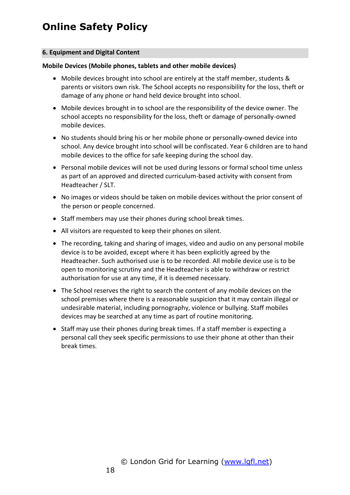#### **6. Equipment and Digital Content**

#### **Mobile Devices (Mobile phones, tablets and other mobile devices)**

- Mobile devices brought into school are entirely at the staff member, students & parents or visitors own risk. The School accepts no responsibility for the loss, theft or damage of any phone or hand held device brought into school.
- Mobile devices brought in to school are the responsibility of the device owner. The school accepts no responsibility for the loss, theft or damage of personally-owned mobile devices.
- No students should bring his or her mobile phone or personally-owned device into school. Any device brought into school will be confiscated. Year 6 children are to hand mobile devices to the office for safe keeping during the school day.
- Personal mobile devices will not be used during lessons or formal school time unless as part of an approved and directed curriculum-based activity with consent from Headteacher / SLT.
- No images or videos should be taken on mobile devices without the prior consent of the person or people concerned.
- Staff members may use their phones during school break times.
- All visitors are requested to keep their phones on silent.
- The recording, taking and sharing of images, video and audio on any personal mobile device is to be avoided, except where it has been explicitly agreed by the Headteacher. Such authorised use is to be recorded. All mobile device use is to be open to monitoring scrutiny and the Headteacher is able to withdraw or restrict authorisation for use at any time, if it is deemed necessary.
- The School reserves the right to search the content of any mobile devices on the school premises where there is a reasonable suspicion that it may contain illegal or undesirable material, including pornography, violence or bullying. Staff mobiles devices may be searched at any time as part of routine monitoring.
- Staff may use their phones during break times. If a staff member is expecting a personal call they seek specific permissions to use their phone at other than their break times.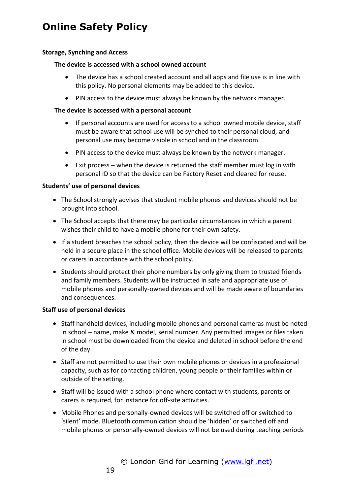#### **Storage, Synching and Access**

#### **The device is accessed with a school owned account**

- The device has a school created account and all apps and file use is in line with this policy. No personal elements may be added to this device.
- PIN access to the device must always be known by the network manager.

#### **The device is accessed with a personal account**

- If personal accounts are used for access to a school owned mobile device, staff must be aware that school use will be synched to their personal cloud, and personal use may become visible in school and in the classroom.
- PIN access to the device must always be known by the network manager.
- Exit process when the device is returned the staff member must log in with personal ID so that the device can be Factory Reset and cleared for reuse.

#### **Students' use of personal devices**

- The School strongly advises that student mobile phones and devices should not be brought into school.
- The School accepts that there may be particular circumstances in which a parent wishes their child to have a mobile phone for their own safety.
- If a student breaches the school policy, then the device will be confiscated and will be held in a secure place in the school office. Mobile devices will be released to parents or carers in accordance with the school policy.
- Students should protect their phone numbers by only giving them to trusted friends and family members. Students will be instructed in safe and appropriate use of mobile phones and personally-owned devices and will be made aware of boundaries and consequences.

#### **Staff use of personal devices**

- Staff handheld devices, including mobile phones and personal cameras must be noted in school – name, make & model, serial number. Any permitted images or files taken in school must be downloaded from the device and deleted in school before the end of the day.
- Staff are not permitted to use their own mobile phones or devices in a professional capacity, such as for contacting children, young people or their families within or outside of the setting.
- Staff will be issued with a school phone where contact with students, parents or carers is required, for instance for off-site activities.
- Mobile Phones and personally-owned devices will be switched off or switched to 'silent' mode. Bluetooth communication should be 'hidden' or switched off and mobile phones or personally-owned devices will not be used during teaching periods